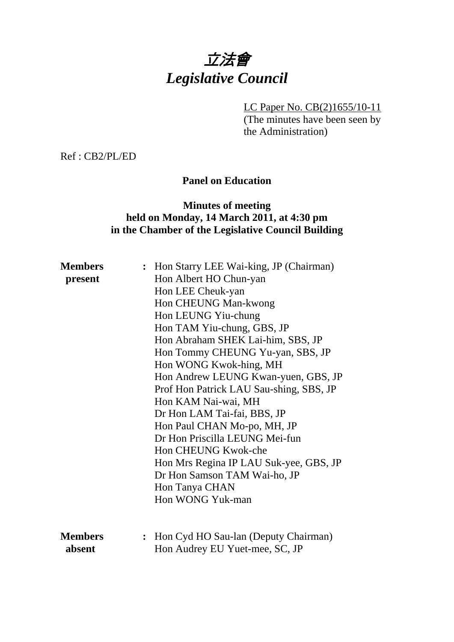# 立法會 *Legislative Council*

LC Paper No. CB(2)1655/10-11

(The minutes have been seen by the Administration)

Ref : CB2/PL/ED

## **Panel on Education**

## **Minutes of meeting held on Monday, 14 March 2011, at 4:30 pm in the Chamber of the Legislative Council Building**

| <b>Members</b> | : Hon Starry LEE Wai-king, JP (Chairman) |
|----------------|------------------------------------------|
| present        | Hon Albert HO Chun-yan                   |
|                | Hon LEE Cheuk-yan                        |
|                | Hon CHEUNG Man-kwong                     |
|                | Hon LEUNG Yiu-chung                      |
|                | Hon TAM Yiu-chung, GBS, JP               |
|                | Hon Abraham SHEK Lai-him, SBS, JP        |
|                | Hon Tommy CHEUNG Yu-yan, SBS, JP         |
|                | Hon WONG Kwok-hing, MH                   |
|                | Hon Andrew LEUNG Kwan-yuen, GBS, JP      |
|                | Prof Hon Patrick LAU Sau-shing, SBS, JP  |
|                | Hon KAM Nai-wai, MH                      |
|                | Dr Hon LAM Tai-fai, BBS, JP              |
|                | Hon Paul CHAN Mo-po, MH, JP              |
|                | Dr Hon Priscilla LEUNG Mei-fun           |
|                | Hon CHEUNG Kwok-che                      |
|                | Hon Mrs Regina IP LAU Suk-yee, GBS, JP   |
|                | Dr Hon Samson TAM Wai-ho, JP             |
|                | Hon Tanya CHAN                           |
|                | Hon WONG Yuk-man                         |
|                |                                          |
|                |                                          |
| <b>Members</b> | : Hon Cyd HO Sau-lan (Deputy Chairman)   |
| absent         | Hon Audrey EU Yuet-mee, SC, JP           |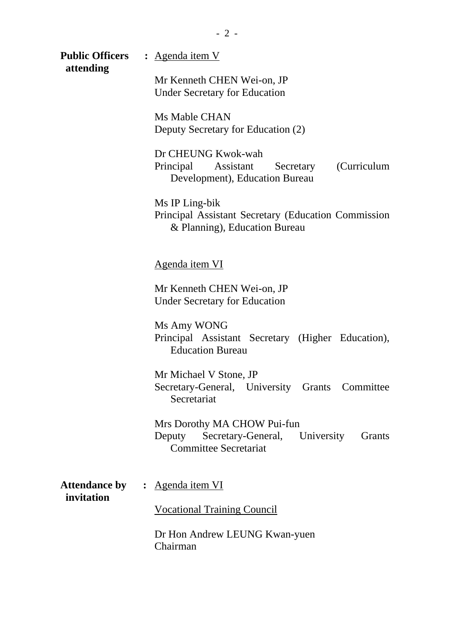**Public Officers :** Agenda item V

 **attending** 

Mr Kenneth CHEN Wei-on, JP Under Secretary for Education

Ms Mable CHAN Deputy Secretary for Education (2)

Dr CHEUNG Kwok-wah Principal Assistant Secretary (Curriculum Development), Education Bureau

Ms IP Ling-bik Principal Assistant Secretary (Education Commission & Planning), Education Bureau

Agenda item VI

Mr Kenneth CHEN Wei-on, JP Under Secretary for Education

Ms Amy WONG Principal Assistant Secretary (Higher Education), Education Bureau

Mr Michael V Stone, JP Secretary-General, University Grants Committee Secretariat

Mrs Dorothy MA CHOW Pui-fun Deputy Secretary-General, University Grants Committee Secretariat

Attendance by : Agenda item VI  **invitation** 

Vocational Training Council

Dr Hon Andrew LEUNG Kwan-yuen Chairman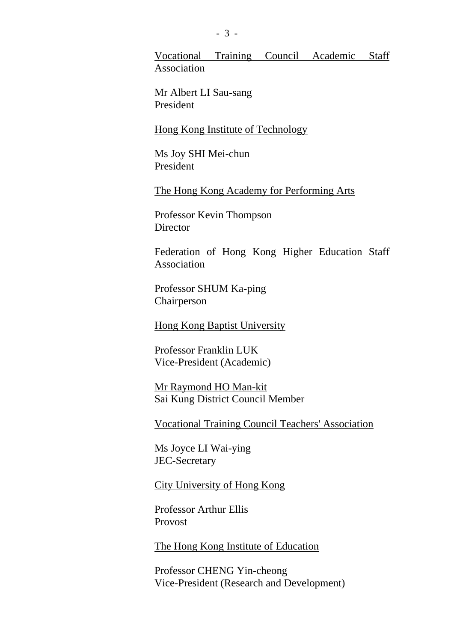Vocational Training Council Academic Staff Association

Mr Albert LI Sau-sang President

Hong Kong Institute of Technology

Ms Joy SHI Mei-chun President

The Hong Kong Academy for Performing Arts

Professor Kevin Thompson **Director** 

Federation of Hong Kong Higher Education Staff Association

Professor SHUM Ka-ping Chairperson

Hong Kong Baptist University

Professor Franklin LUK Vice-President (Academic)

Mr Raymond HO Man-kit Sai Kung District Council Member

Vocational Training Council Teachers' Association

Ms Joyce LI Wai-ying JEC-Secretary

City University of Hong Kong

Professor Arthur Ellis Provost

The Hong Kong Institute of Education

Professor CHENG Yin-cheong Vice-President (Research and Development)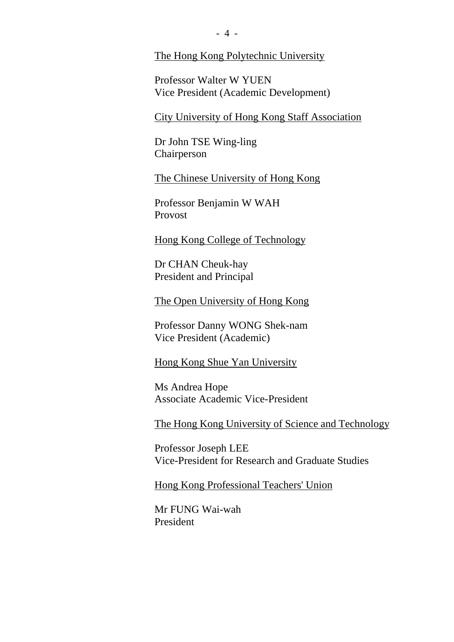#### The Hong Kong Polytechnic University

Professor Walter W YUEN Vice President (Academic Development)

City University of Hong Kong Staff Association

Dr John TSE Wing-ling Chairperson

The Chinese University of Hong Kong

Professor Benjamin W WAH Provost

Hong Kong College of Technology

Dr CHAN Cheuk-hay President and Principal

The Open University of Hong Kong

Professor Danny WONG Shek-nam Vice President (Academic)

Hong Kong Shue Yan University

Ms Andrea Hope Associate Academic Vice-President

The Hong Kong University of Science and Technology

Professor Joseph LEE Vice-President for Research and Graduate Studies

Hong Kong Professional Teachers' Union

Mr FUNG Wai-wah President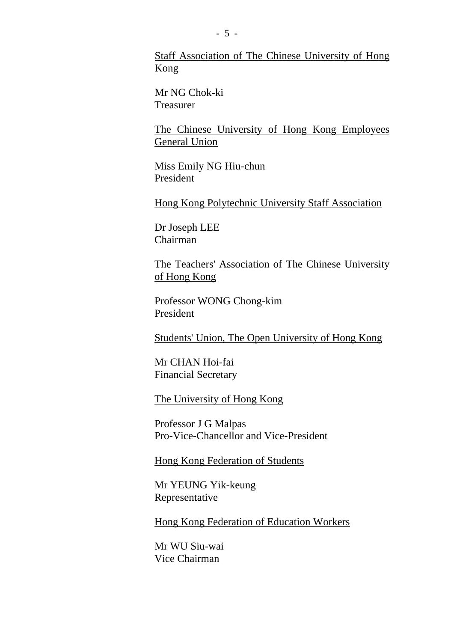Staff Association of The Chinese University of Hong Kong

Mr NG Chok-ki Treasurer

The Chinese University of Hong Kong Employees General Union

Miss Emily NG Hiu-chun President

Hong Kong Polytechnic University Staff Association

Dr Joseph LEE Chairman

The Teachers' Association of The Chinese University of Hong Kong

Professor WONG Chong-kim President

Students' Union, The Open University of Hong Kong

Mr CHAN Hoi-fai Financial Secretary

The University of Hong Kong

Professor J G Malpas Pro-Vice-Chancellor and Vice-President

Hong Kong Federation of Students

Mr YEUNG Yik-keung Representative

Hong Kong Federation of Education Workers

Mr WU Siu-wai Vice Chairman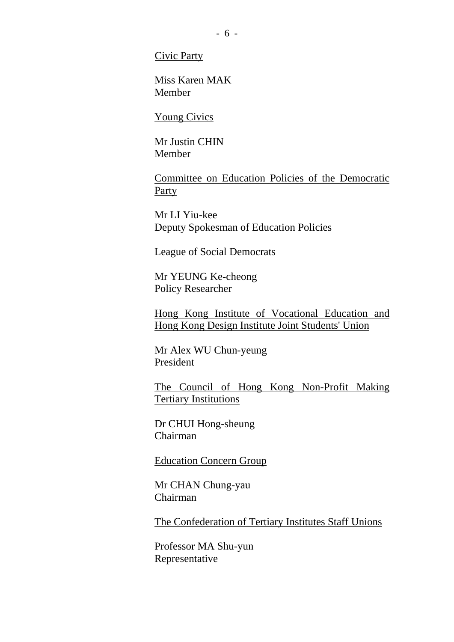Civic Party

Miss Karen MAK Member

Young Civics

Mr Justin CHIN Member

Committee on Education Policies of the Democratic **Party** 

Mr LI Yiu-kee Deputy Spokesman of Education Policies

League of Social Democrats

Mr YEUNG Ke-cheong Policy Researcher

Hong Kong Institute of Vocational Education and Hong Kong Design Institute Joint Students' Union

Mr Alex WU Chun-yeung President

The Council of Hong Kong Non-Profit Making Tertiary Institutions

Dr CHUI Hong-sheung Chairman

Education Concern Group

Mr CHAN Chung-yau Chairman

The Confederation of Tertiary Institutes Staff Unions

Professor MA Shu-yun Representative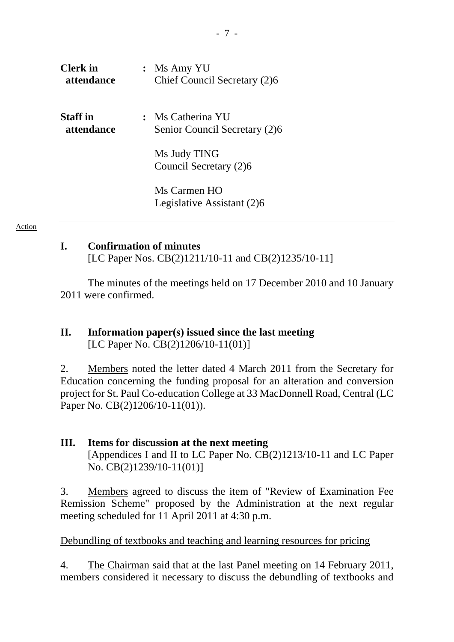| <b>Clerk</b> in | $:$ Ms Amy YU                              |
|-----------------|--------------------------------------------|
| attendance      | Chief Council Secretary (2)6               |
| <b>Staff</b> in | : Ms Catherina YU                          |
| attendance      | Senior Council Secretary (2)6              |
|                 | Ms Judy TING<br>Council Secretary (2)6     |
|                 | Ms Carmen HO<br>Legislative Assistant (2)6 |

#### Action

#### **I. Confirmation of minutes**

[LC Paper Nos. CB(2)1211/10-11 and CB(2)1235/10-11]

The minutes of the meetings held on 17 December 2010 and 10 January 2011 were confirmed.

#### **II. Information paper(s) issued since the last meeting**  [LC Paper No. CB(2)1206/10-11(01)]

2. Members noted the letter dated 4 March 2011 from the Secretary for Education concerning the funding proposal for an alteration and conversion project for St. Paul Co-education College at 33 MacDonnell Road, Central (LC Paper No. CB(2)1206/10-11(01)).

#### **III. Items for discussion at the next meeting**

[Appendices I and II to LC Paper No. CB(2)1213/10-11 and LC Paper No. CB(2)1239/10-11(01)]

3. Members agreed to discuss the item of "Review of Examination Fee Remission Scheme" proposed by the Administration at the next regular meeting scheduled for 11 April 2011 at 4:30 p.m.

#### Debundling of textbooks and teaching and learning resources for pricing

4. The Chairman said that at the last Panel meeting on 14 February 2011, members considered it necessary to discuss the debundling of textbooks and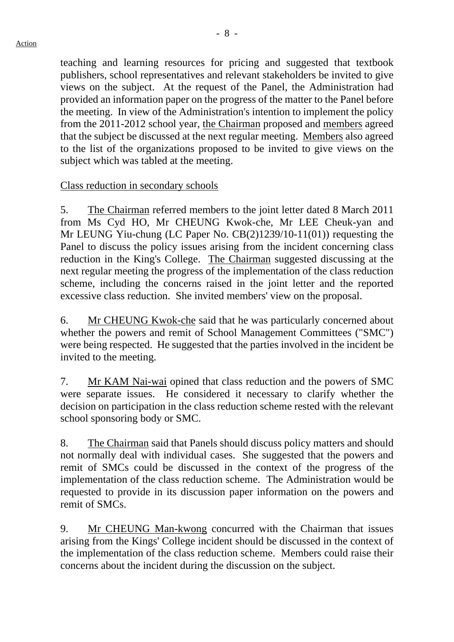teaching and learning resources for pricing and suggested that textbook publishers, school representatives and relevant stakeholders be invited to give views on the subject. At the request of the Panel, the Administration had provided an information paper on the progress of the matter to the Panel before the meeting. In view of the Administration's intention to implement the policy from the 2011-2012 school year, the Chairman proposed and members agreed that the subject be discussed at the next regular meeting. Members also agreed to the list of the organizations proposed to be invited to give views on the

#### Class reduction in secondary schools

subject which was tabled at the meeting.

5. The Chairman referred members to the joint letter dated 8 March 2011 from Ms Cyd HO, Mr CHEUNG Kwok-che, Mr LEE Cheuk-yan and Mr LEUNG Yiu-chung (LC Paper No. CB(2)1239/10-11(01)) requesting the Panel to discuss the policy issues arising from the incident concerning class reduction in the King's College. The Chairman suggested discussing at the next regular meeting the progress of the implementation of the class reduction scheme, including the concerns raised in the joint letter and the reported excessive class reduction. She invited members' view on the proposal.

6. Mr CHEUNG Kwok-che said that he was particularly concerned about whether the powers and remit of School Management Committees ("SMC") were being respected. He suggested that the parties involved in the incident be invited to the meeting.

7. Mr KAM Nai-wai opined that class reduction and the powers of SMC were separate issues. He considered it necessary to clarify whether the decision on participation in the class reduction scheme rested with the relevant school sponsoring body or SMC.

8. The Chairman said that Panels should discuss policy matters and should not normally deal with individual cases. She suggested that the powers and remit of SMCs could be discussed in the context of the progress of the implementation of the class reduction scheme. The Administration would be requested to provide in its discussion paper information on the powers and remit of SMCs.

9. Mr CHEUNG Man-kwong concurred with the Chairman that issues arising from the Kings' College incident should be discussed in the context of the implementation of the class reduction scheme. Members could raise their concerns about the incident during the discussion on the subject.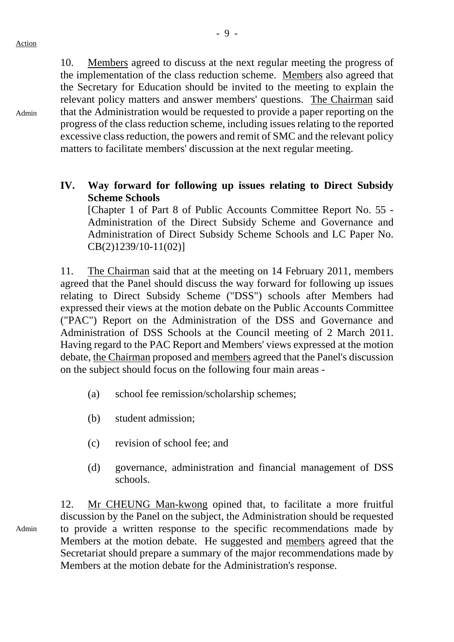Admin

10. Members agreed to discuss at the next regular meeting the progress of the implementation of the class reduction scheme. Members also agreed that the Secretary for Education should be invited to the meeting to explain the relevant policy matters and answer members' questions. The Chairman said that the Administration would be requested to provide a paper reporting on the progress of the class reduction scheme, including issues relating to the reported excessive class reduction, the powers and remit of SMC and the relevant policy matters to facilitate members' discussion at the next regular meeting.

**IV. Way forward for following up issues relating to Direct Subsidy Scheme Schools** 

[Chapter 1 of Part 8 of Public Accounts Committee Report No. 55 - Administration of the Direct Subsidy Scheme and Governance and Administration of Direct Subsidy Scheme Schools and LC Paper No. CB(2)1239/10-11(02)]

11. The Chairman said that at the meeting on 14 February 2011, members agreed that the Panel should discuss the way forward for following up issues relating to Direct Subsidy Scheme ("DSS") schools after Members had expressed their views at the motion debate on the Public Accounts Committee ("PAC") Report on the Administration of the DSS and Governance and Administration of DSS Schools at the Council meeting of 2 March 2011. Having regard to the PAC Report and Members' views expressed at the motion debate, the Chairman proposed and members agreed that the Panel's discussion on the subject should focus on the following four main areas -

- (a) school fee remission/scholarship schemes;
- (b) student admission;
- (c) revision of school fee; and
- (d) governance, administration and financial management of DSS schools.

12. Mr CHEUNG Man-kwong opined that, to facilitate a more fruitful discussion by the Panel on the subject, the Administration should be requested to provide a written response to the specific recommendations made by Members at the motion debate. He suggested and members agreed that the Secretariat should prepare a summary of the major recommendations made by Members at the motion debate for the Administration's response.

Admin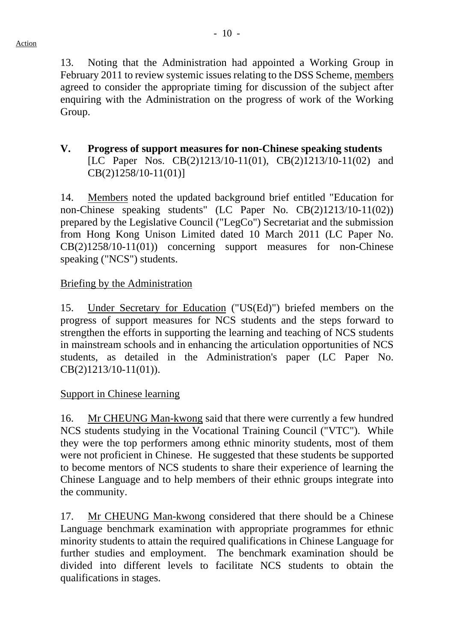13. Noting that the Administration had appointed a Working Group in February 2011 to review systemic issues relating to the DSS Scheme, members agreed to consider the appropriate timing for discussion of the subject after enquiring with the Administration on the progress of work of the Working Group.

## **V. Progress of support measures for non-Chinese speaking students**  [LC Paper Nos. CB(2)1213/10-11(01), CB(2)1213/10-11(02) and CB(2)1258/10-11(01)]

14. Members noted the updated background brief entitled "Education for non-Chinese speaking students" (LC Paper No. CB(2)1213/10-11(02)) prepared by the Legislative Council ("LegCo") Secretariat and the submission from Hong Kong Unison Limited dated 10 March 2011 (LC Paper No. CB(2)1258/10-11(01)) concerning support measures for non-Chinese speaking ("NCS") students.

## Briefing by the Administration

15. Under Secretary for Education ("US(Ed)") briefed members on the progress of support measures for NCS students and the steps forward to strengthen the efforts in supporting the learning and teaching of NCS students in mainstream schools and in enhancing the articulation opportunities of NCS students, as detailed in the Administration's paper (LC Paper No. CB(2)1213/10-11(01)).

#### Support in Chinese learning

16. Mr CHEUNG Man-kwong said that there were currently a few hundred NCS students studying in the Vocational Training Council ("VTC"). While they were the top performers among ethnic minority students, most of them were not proficient in Chinese. He suggested that these students be supported to become mentors of NCS students to share their experience of learning the Chinese Language and to help members of their ethnic groups integrate into the community.

17. Mr CHEUNG Man-kwong considered that there should be a Chinese Language benchmark examination with appropriate programmes for ethnic minority students to attain the required qualifications in Chinese Language for further studies and employment. The benchmark examination should be divided into different levels to facilitate NCS students to obtain the qualifications in stages.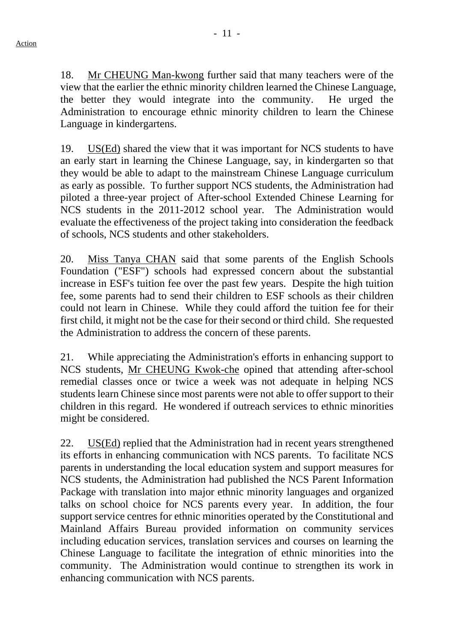18. Mr CHEUNG Man-kwong further said that many teachers were of the view that the earlier the ethnic minority children learned the Chinese Language, the better they would integrate into the community. He urged the Administration to encourage ethnic minority children to learn the Chinese Language in kindergartens.

19. US(Ed) shared the view that it was important for NCS students to have an early start in learning the Chinese Language, say, in kindergarten so that they would be able to adapt to the mainstream Chinese Language curriculum as early as possible. To further support NCS students, the Administration had piloted a three-year project of After-school Extended Chinese Learning for NCS students in the 2011-2012 school year. The Administration would evaluate the effectiveness of the project taking into consideration the feedback of schools, NCS students and other stakeholders.

20. Miss Tanya CHAN said that some parents of the English Schools Foundation ("ESF") schools had expressed concern about the substantial increase in ESF's tuition fee over the past few years. Despite the high tuition fee, some parents had to send their children to ESF schools as their children could not learn in Chinese. While they could afford the tuition fee for their first child, it might not be the case for their second or third child. She requested the Administration to address the concern of these parents.

21. While appreciating the Administration's efforts in enhancing support to NCS students, Mr CHEUNG Kwok-che opined that attending after-school remedial classes once or twice a week was not adequate in helping NCS students learn Chinese since most parents were not able to offer support to their children in this regard. He wondered if outreach services to ethnic minorities might be considered.

22. US(Ed) replied that the Administration had in recent years strengthened its efforts in enhancing communication with NCS parents. To facilitate NCS parents in understanding the local education system and support measures for NCS students, the Administration had published the NCS Parent Information Package with translation into major ethnic minority languages and organized talks on school choice for NCS parents every year. In addition, the four support service centres for ethnic minorities operated by the Constitutional and Mainland Affairs Bureau provided information on community services including education services, translation services and courses on learning the Chinese Language to facilitate the integration of ethnic minorities into the community. The Administration would continue to strengthen its work in enhancing communication with NCS parents.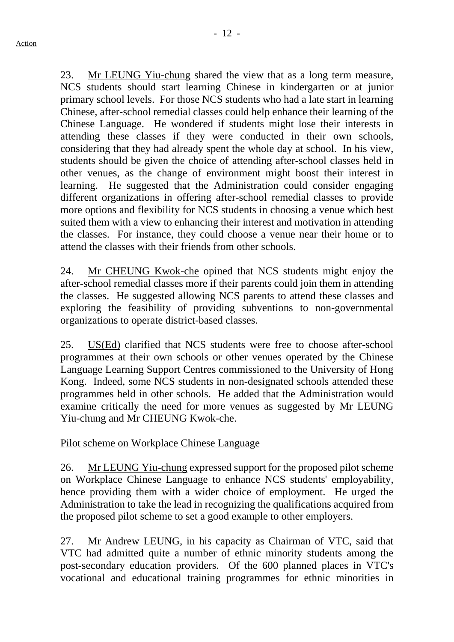23. Mr LEUNG Yiu-chung shared the view that as a long term measure, NCS students should start learning Chinese in kindergarten or at junior primary school levels. For those NCS students who had a late start in learning Chinese, after-school remedial classes could help enhance their learning of the Chinese Language. He wondered if students might lose their interests in attending these classes if they were conducted in their own schools, considering that they had already spent the whole day at school. In his view, students should be given the choice of attending after-school classes held in other venues, as the change of environment might boost their interest in learning. He suggested that the Administration could consider engaging different organizations in offering after-school remedial classes to provide more options and flexibility for NCS students in choosing a venue which best suited them with a view to enhancing their interest and motivation in attending the classes. For instance, they could choose a venue near their home or to attend the classes with their friends from other schools.

24. Mr CHEUNG Kwok-che opined that NCS students might enjoy the after-school remedial classes more if their parents could join them in attending the classes. He suggested allowing NCS parents to attend these classes and exploring the feasibility of providing subventions to non-governmental organizations to operate district-based classes.

25. US(Ed) clarified that NCS students were free to choose after-school programmes at their own schools or other venues operated by the Chinese Language Learning Support Centres commissioned to the University of Hong Kong. Indeed, some NCS students in non-designated schools attended these programmes held in other schools. He added that the Administration would examine critically the need for more venues as suggested by Mr LEUNG Yiu-chung and Mr CHEUNG Kwok-che.

## Pilot scheme on Workplace Chinese Language

26. Mr LEUNG Yiu-chung expressed support for the proposed pilot scheme on Workplace Chinese Language to enhance NCS students' employability, hence providing them with a wider choice of employment. He urged the Administration to take the lead in recognizing the qualifications acquired from the proposed pilot scheme to set a good example to other employers.

27. Mr Andrew LEUNG, in his capacity as Chairman of VTC, said that VTC had admitted quite a number of ethnic minority students among the post-secondary education providers. Of the 600 planned places in VTC's vocational and educational training programmes for ethnic minorities in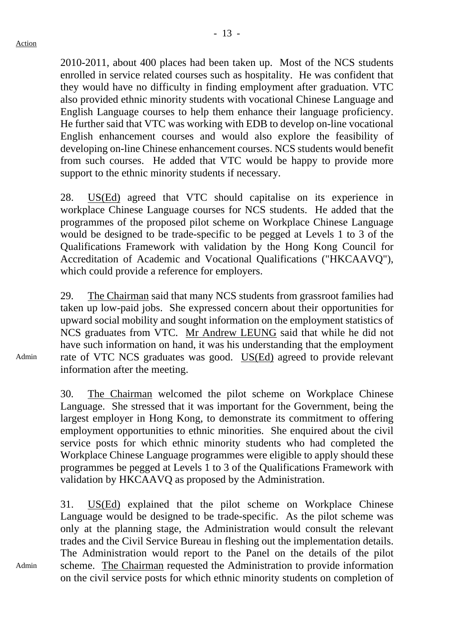2010-2011, about 400 places had been taken up. Most of the NCS students enrolled in service related courses such as hospitality. He was confident that they would have no difficulty in finding employment after graduation. VTC also provided ethnic minority students with vocational Chinese Language and English Language courses to help them enhance their language proficiency. He further said that VTC was working with EDB to develop on-line vocational English enhancement courses and would also explore the feasibility of developing on-line Chinese enhancement courses. NCS students would benefit from such courses. He added that VTC would be happy to provide more support to the ethnic minority students if necessary.

28. US(Ed) agreed that VTC should capitalise on its experience in workplace Chinese Language courses for NCS students. He added that the programmes of the proposed pilot scheme on Workplace Chinese Language would be designed to be trade-specific to be pegged at Levels 1 to 3 of the Qualifications Framework with validation by the Hong Kong Council for Accreditation of Academic and Vocational Qualifications ("HKCAAVQ"), which could provide a reference for employers.

29. The Chairman said that many NCS students from grassroot families had taken up low-paid jobs. She expressed concern about their opportunities for upward social mobility and sought information on the employment statistics of NCS graduates from VTC. Mr Andrew LEUNG said that while he did not have such information on hand, it was his understanding that the employment rate of VTC NCS graduates was good. US(Ed) agreed to provide relevant information after the meeting.

30. The Chairman welcomed the pilot scheme on Workplace Chinese Language. She stressed that it was important for the Government, being the largest employer in Hong Kong, to demonstrate its commitment to offering employment opportunities to ethnic minorities. She enquired about the civil service posts for which ethnic minority students who had completed the Workplace Chinese Language programmes were eligible to apply should these programmes be pegged at Levels 1 to 3 of the Qualifications Framework with validation by HKCAAVQ as proposed by the Administration.

31. US(Ed) explained that the pilot scheme on Workplace Chinese Language would be designed to be trade-specific. As the pilot scheme was only at the planning stage, the Administration would consult the relevant trades and the Civil Service Bureau in fleshing out the implementation details. The Administration would report to the Panel on the details of the pilot scheme. The Chairman requested the Administration to provide information on the civil service posts for which ethnic minority students on completion of

Admin

Admin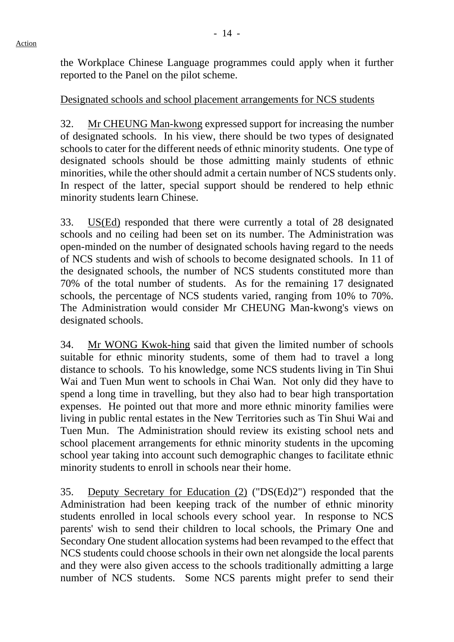the Workplace Chinese Language programmes could apply when it further reported to the Panel on the pilot scheme.

#### Designated schools and school placement arrangements for NCS students

32. Mr CHEUNG Man-kwong expressed support for increasing the number of designated schools. In his view, there should be two types of designated schools to cater for the different needs of ethnic minority students. One type of designated schools should be those admitting mainly students of ethnic minorities, while the other should admit a certain number of NCS students only. In respect of the latter, special support should be rendered to help ethnic minority students learn Chinese.

33. US(Ed) responded that there were currently a total of 28 designated schools and no ceiling had been set on its number. The Administration was open-minded on the number of designated schools having regard to the needs of NCS students and wish of schools to become designated schools. In 11 of the designated schools, the number of NCS students constituted more than 70% of the total number of students. As for the remaining 17 designated schools, the percentage of NCS students varied, ranging from 10% to 70%. The Administration would consider Mr CHEUNG Man-kwong's views on designated schools.

34. Mr WONG Kwok-hing said that given the limited number of schools suitable for ethnic minority students, some of them had to travel a long distance to schools. To his knowledge, some NCS students living in Tin Shui Wai and Tuen Mun went to schools in Chai Wan. Not only did they have to spend a long time in travelling, but they also had to bear high transportation expenses. He pointed out that more and more ethnic minority families were living in public rental estates in the New Territories such as Tin Shui Wai and Tuen Mun. The Administration should review its existing school nets and school placement arrangements for ethnic minority students in the upcoming school year taking into account such demographic changes to facilitate ethnic minority students to enroll in schools near their home.

35. Deputy Secretary for Education (2) ("DS(Ed)2") responded that the Administration had been keeping track of the number of ethnic minority students enrolled in local schools every school year. In response to NCS parents' wish to send their children to local schools, the Primary One and Secondary One student allocation systems had been revamped to the effect that NCS students could choose schools in their own net alongside the local parents and they were also given access to the schools traditionally admitting a large number of NCS students. Some NCS parents might prefer to send their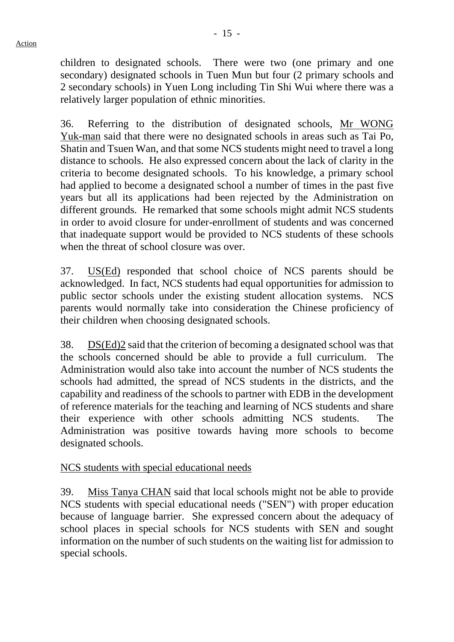children to designated schools. There were two (one primary and one secondary) designated schools in Tuen Mun but four (2 primary schools and 2 secondary schools) in Yuen Long including Tin Shi Wui where there was a relatively larger population of ethnic minorities.

36. Referring to the distribution of designated schools, Mr WONG Yuk-man said that there were no designated schools in areas such as Tai Po, Shatin and Tsuen Wan, and that some NCS students might need to travel a long distance to schools. He also expressed concern about the lack of clarity in the criteria to become designated schools. To his knowledge, a primary school had applied to become a designated school a number of times in the past five years but all its applications had been rejected by the Administration on different grounds. He remarked that some schools might admit NCS students in order to avoid closure for under-enrollment of students and was concerned that inadequate support would be provided to NCS students of these schools when the threat of school closure was over.

37. US(Ed) responded that school choice of NCS parents should be acknowledged. In fact, NCS students had equal opportunities for admission to public sector schools under the existing student allocation systems. NCS parents would normally take into consideration the Chinese proficiency of their children when choosing designated schools.

38. DS(Ed)2 said that the criterion of becoming a designated school was that the schools concerned should be able to provide a full curriculum. The Administration would also take into account the number of NCS students the schools had admitted, the spread of NCS students in the districts, and the capability and readiness of the schools to partner with EDB in the development of reference materials for the teaching and learning of NCS students and share their experience with other schools admitting NCS students. The Administration was positive towards having more schools to become designated schools.

## NCS students with special educational needs

39. Miss Tanya CHAN said that local schools might not be able to provide NCS students with special educational needs ("SEN") with proper education because of language barrier. She expressed concern about the adequacy of school places in special schools for NCS students with SEN and sought information on the number of such students on the waiting list for admission to special schools.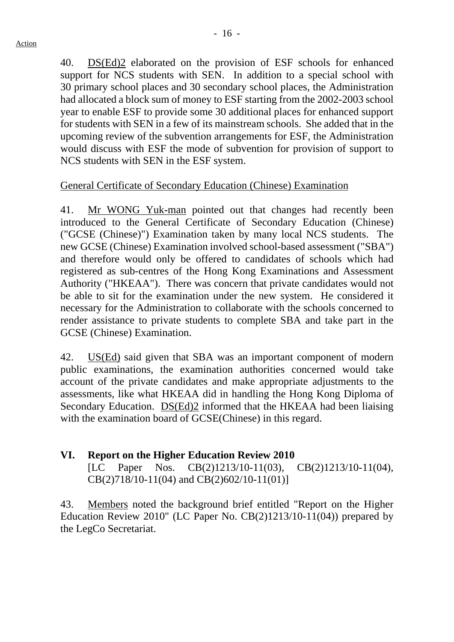40. DS(Ed)2 elaborated on the provision of ESF schools for enhanced support for NCS students with SEN. In addition to a special school with 30 primary school places and 30 secondary school places, the Administration had allocated a block sum of money to ESF starting from the 2002-2003 school year to enable ESF to provide some 30 additional places for enhanced support for students with SEN in a few of its mainstream schools. She added that in the upcoming review of the subvention arrangements for ESF, the Administration would discuss with ESF the mode of subvention for provision of support to NCS students with SEN in the ESF system.

## General Certificate of Secondary Education (Chinese) Examination

41. Mr WONG Yuk-man pointed out that changes had recently been introduced to the General Certificate of Secondary Education (Chinese) ("GCSE (Chinese)") Examination taken by many local NCS students. The new GCSE (Chinese) Examination involved school-based assessment ("SBA") and therefore would only be offered to candidates of schools which had registered as sub-centres of the Hong Kong Examinations and Assessment Authority ("HKEAA"). There was concern that private candidates would not be able to sit for the examination under the new system. He considered it necessary for the Administration to collaborate with the schools concerned to render assistance to private students to complete SBA and take part in the GCSE (Chinese) Examination.

42. US(Ed) said given that SBA was an important component of modern public examinations, the examination authorities concerned would take account of the private candidates and make appropriate adjustments to the assessments, like what HKEAA did in handling the Hong Kong Diploma of Secondary Education. DS(Ed)2 informed that the HKEAA had been liaising with the examination board of GCSE(Chinese) in this regard.

## **VI. Report on the Higher Education Review 2010**

[LC Paper Nos. CB(2)1213/10-11(03), CB(2)1213/10-11(04), CB(2)718/10-11(04) and CB(2)602/10-11(01)]

43. Members noted the background brief entitled "Report on the Higher Education Review 2010" (LC Paper No. CB(2)1213/10-11(04)) prepared by the LegCo Secretariat.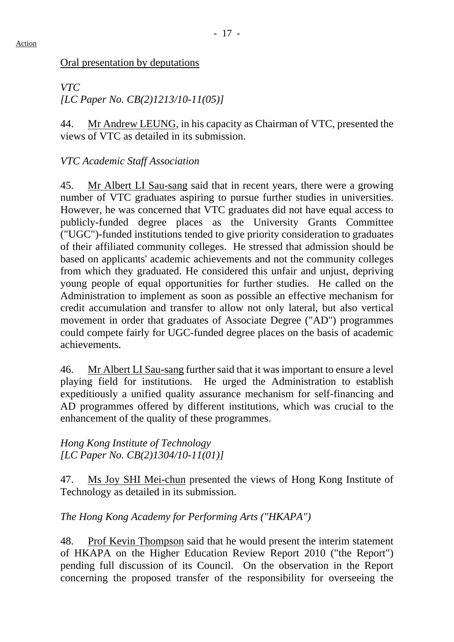## Oral presentation by deputations

*VTC [LC Paper No. CB(2)1213/10-11(05)]* 

44. Mr Andrew LEUNG, in his capacity as Chairman of VTC, presented the views of VTC as detailed in its submission.

# *VTC Academic Staff Association*

45. Mr Albert LI Sau-sang said that in recent years, there were a growing number of VTC graduates aspiring to pursue further studies in universities. However, he was concerned that VTC graduates did not have equal access to publicly-funded degree places as the University Grants Committee ("UGC")-funded institutions tended to give priority consideration to graduates of their affiliated community colleges. He stressed that admission should be based on applicants' academic achievements and not the community colleges from which they graduated. He considered this unfair and unjust, depriving young people of equal opportunities for further studies. He called on the Administration to implement as soon as possible an effective mechanism for credit accumulation and transfer to allow not only lateral, but also vertical movement in order that graduates of Associate Degree ("AD") programmes could compete fairly for UGC-funded degree places on the basis of academic achievements.

46. Mr Albert LI Sau-sang further said that it was important to ensure a level playing field for institutions. He urged the Administration to establish expeditiously a unified quality assurance mechanism for self-financing and AD programmes offered by different institutions, which was crucial to the enhancement of the quality of these programmes.

## *Hong Kong Institute of Technology [LC Paper No. CB(2)1304/10-11(01)]*

47. Ms Joy SHI Mei-chun presented the views of Hong Kong Institute of Technology as detailed in its submission.

# *The Hong Kong Academy for Performing Arts ("HKAPA")*

48. Prof Kevin Thompson said that he would present the interim statement of HKAPA on the Higher Education Review Report 2010 ("the Report") pending full discussion of its Council. On the observation in the Report concerning the proposed transfer of the responsibility for overseeing the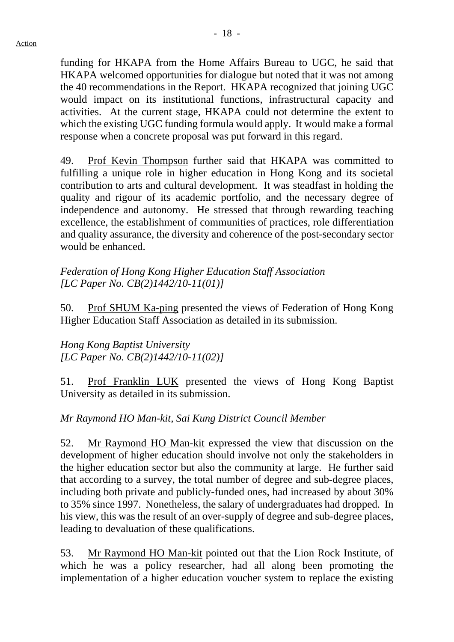funding for HKAPA from the Home Affairs Bureau to UGC, he said that HKAPA welcomed opportunities for dialogue but noted that it was not among the 40 recommendations in the Report. HKAPA recognized that joining UGC would impact on its institutional functions, infrastructural capacity and activities. At the current stage, HKAPA could not determine the extent to which the existing UGC funding formula would apply. It would make a formal response when a concrete proposal was put forward in this regard.

49. Prof Kevin Thompson further said that HKAPA was committed to fulfilling a unique role in higher education in Hong Kong and its societal contribution to arts and cultural development. It was steadfast in holding the quality and rigour of its academic portfolio, and the necessary degree of independence and autonomy. He stressed that through rewarding teaching excellence, the establishment of communities of practices, role differentiation and quality assurance, the diversity and coherence of the post-secondary sector would be enhanced.

#### *Federation of Hong Kong Higher Education Staff Association [LC Paper No. CB(2)1442/10-11(01)]*

50. Prof SHUM Ka-ping presented the views of Federation of Hong Kong Higher Education Staff Association as detailed in its submission.

*Hong Kong Baptist University [LC Paper No. CB(2)1442/10-11(02)]* 

51. Prof Franklin LUK presented the views of Hong Kong Baptist University as detailed in its submission.

# *Mr Raymond HO Man-kit, Sai Kung District Council Member*

52. Mr Raymond HO Man-kit expressed the view that discussion on the development of higher education should involve not only the stakeholders in the higher education sector but also the community at large. He further said that according to a survey, the total number of degree and sub-degree places, including both private and publicly-funded ones, had increased by about 30% to 35% since 1997. Nonetheless, the salary of undergraduates had dropped. In his view, this was the result of an over-supply of degree and sub-degree places, leading to devaluation of these qualifications.

53. Mr Raymond HO Man-kit pointed out that the Lion Rock Institute, of which he was a policy researcher, had all along been promoting the implementation of a higher education voucher system to replace the existing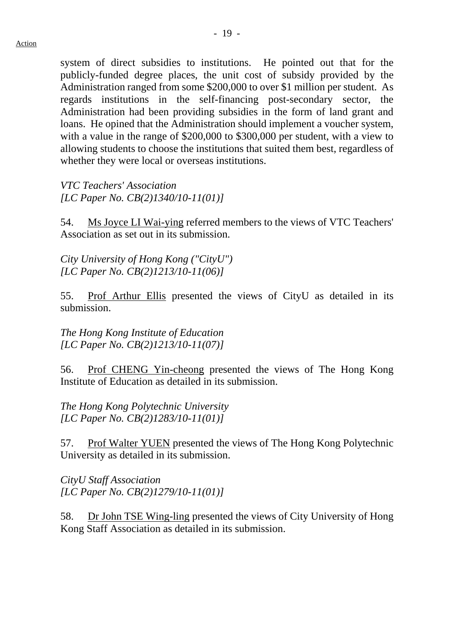system of direct subsidies to institutions. He pointed out that for the publicly-funded degree places, the unit cost of subsidy provided by the Administration ranged from some \$200,000 to over \$1 million per student. As regards institutions in the self-financing post-secondary sector, the Administration had been providing subsidies in the form of land grant and loans. He opined that the Administration should implement a voucher system, with a value in the range of \$200,000 to \$300,000 per student, with a view to allowing students to choose the institutions that suited them best, regardless of whether they were local or overseas institutions.

*VTC Teachers' Association [LC Paper No. CB(2)1340/10-11(01)]* 

54. Ms Joyce LI Wai-ying referred members to the views of VTC Teachers' Association as set out in its submission.

*City University of Hong Kong ("CityU") [LC Paper No. CB(2)1213/10-11(06)]* 

55. Prof Arthur Ellis presented the views of CityU as detailed in its submission.

*The Hong Kong Institute of Education [LC Paper No. CB(2)1213/10-11(07)]* 

56. Prof CHENG Yin-cheong presented the views of The Hong Kong Institute of Education as detailed in its submission.

*The Hong Kong Polytechnic University [LC Paper No. CB(2)1283/10-11(01)]* 

57. Prof Walter YUEN presented the views of The Hong Kong Polytechnic University as detailed in its submission.

*CityU Staff Association [LC Paper No. CB(2)1279/10-11(01)]* 

58. Dr John TSE Wing-ling presented the views of City University of Hong Kong Staff Association as detailed in its submission.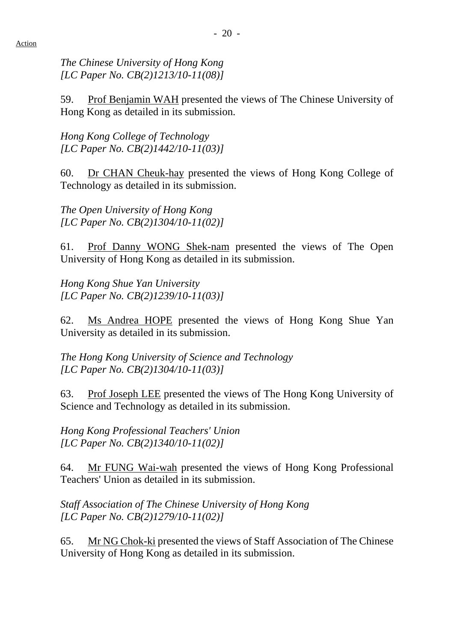*The Chinese University of Hong Kong [LC Paper No. CB(2)1213/10-11(08)]* 

59. Prof Benjamin WAH presented the views of The Chinese University of Hong Kong as detailed in its submission.

*Hong Kong College of Technology [LC Paper No. CB(2)1442/10-11(03)]* 

60. Dr CHAN Cheuk-hay presented the views of Hong Kong College of Technology as detailed in its submission.

*The Open University of Hong Kong [LC Paper No. CB(2)1304/10-11(02)]* 

61. Prof Danny WONG Shek-nam presented the views of The Open University of Hong Kong as detailed in its submission.

*Hong Kong Shue Yan University [LC Paper No. CB(2)1239/10-11(03)]* 

62. Ms Andrea HOPE presented the views of Hong Kong Shue Yan University as detailed in its submission.

*The Hong Kong University of Science and Technology [LC Paper No. CB(2)1304/10-11(03)]* 

63. Prof Joseph LEE presented the views of The Hong Kong University of Science and Technology as detailed in its submission.

*Hong Kong Professional Teachers' Union [LC Paper No. CB(2)1340/10-11(02)]* 

64. Mr FUNG Wai-wah presented the views of Hong Kong Professional Teachers' Union as detailed in its submission.

*Staff Association of The Chinese University of Hong Kong [LC Paper No. CB(2)1279/10-11(02)]* 

65. Mr NG Chok-ki presented the views of Staff Association of The Chinese University of Hong Kong as detailed in its submission.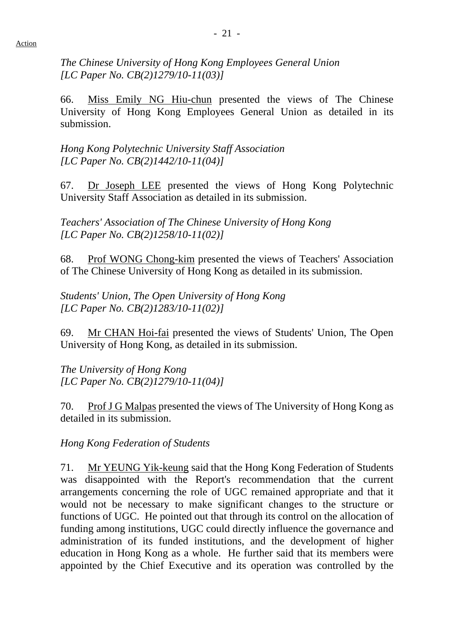*The Chinese University of Hong Kong Employees General Union [LC Paper No. CB(2)1279/10-11(03)]* 

66. Miss Emily NG Hiu-chun presented the views of The Chinese University of Hong Kong Employees General Union as detailed in its submission.

*Hong Kong Polytechnic University Staff Association [LC Paper No. CB(2)1442/10-11(04)]* 

67. Dr Joseph LEE presented the views of Hong Kong Polytechnic University Staff Association as detailed in its submission.

*Teachers' Association of The Chinese University of Hong Kong [LC Paper No. CB(2)1258/10-11(02)]* 

68. Prof WONG Chong-kim presented the views of Teachers' Association of The Chinese University of Hong Kong as detailed in its submission.

*Students' Union, The Open University of Hong Kong [LC Paper No. CB(2)1283/10-11(02)]* 

69. Mr CHAN Hoi-fai presented the views of Students' Union, The Open University of Hong Kong, as detailed in its submission.

*The University of Hong Kong [LC Paper No. CB(2)1279/10-11(04)]* 

70. Prof J G Malpas presented the views of The University of Hong Kong as detailed in its submission.

*Hong Kong Federation of Students* 

71. Mr YEUNG Yik-keung said that the Hong Kong Federation of Students was disappointed with the Report's recommendation that the current arrangements concerning the role of UGC remained appropriate and that it would not be necessary to make significant changes to the structure or functions of UGC. He pointed out that through its control on the allocation of funding among institutions, UGC could directly influence the governance and administration of its funded institutions, and the development of higher education in Hong Kong as a whole. He further said that its members were appointed by the Chief Executive and its operation was controlled by the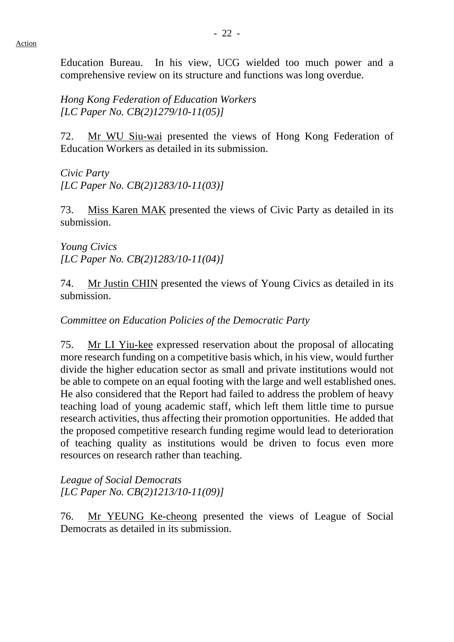Education Bureau. In his view, UCG wielded too much power and a comprehensive review on its structure and functions was long overdue.

*Hong Kong Federation of Education Workers [LC Paper No. CB(2)1279/10-11(05)]* 

72. Mr WU Siu-wai presented the views of Hong Kong Federation of Education Workers as detailed in its submission.

*Civic Party [LC Paper No. CB(2)1283/10-11(03)]* 

73. Miss Karen MAK presented the views of Civic Party as detailed in its submission.

*Young Civics [LC Paper No. CB(2)1283/10-11(04)]* 

74. Mr Justin CHIN presented the views of Young Civics as detailed in its submission.

*Committee on Education Policies of the Democratic Party* 

75. Mr LI Yiu-kee expressed reservation about the proposal of allocating more research funding on a competitive basis which, in his view, would further divide the higher education sector as small and private institutions would not be able to compete on an equal footing with the large and well established ones. He also considered that the Report had failed to address the problem of heavy teaching load of young academic staff, which left them little time to pursue research activities, thus affecting their promotion opportunities. He added that the proposed competitive research funding regime would lead to deterioration of teaching quality as institutions would be driven to focus even more resources on research rather than teaching.

*League of Social Democrats [LC Paper No. CB(2)1213/10-11(09)]* 

76. Mr YEUNG Ke-cheong presented the views of League of Social Democrats as detailed in its submission.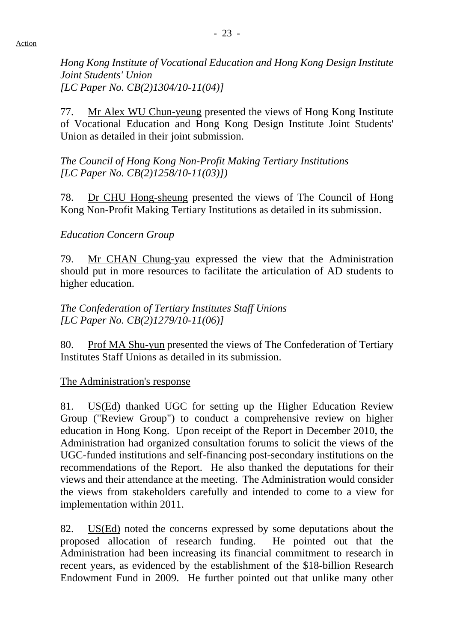*Hong Kong Institute of Vocational Education and Hong Kong Design Institute Joint Students' Union [LC Paper No. CB(2)1304/10-11(04)]* 

77. Mr Alex WU Chun-yeung presented the views of Hong Kong Institute of Vocational Education and Hong Kong Design Institute Joint Students' Union as detailed in their joint submission.

*The Council of Hong Kong Non-Profit Making Tertiary Institutions [LC Paper No. CB(2)1258/10-11(03)])* 

78. Dr CHU Hong-sheung presented the views of The Council of Hong Kong Non-Profit Making Tertiary Institutions as detailed in its submission.

#### *Education Concern Group*

79. Mr CHAN Chung-yau expressed the view that the Administration should put in more resources to facilitate the articulation of AD students to higher education.

*The Confederation of Tertiary Institutes Staff Unions [LC Paper No. CB(2)1279/10-11(06)]* 

80. Prof MA Shu-yun presented the views of The Confederation of Tertiary Institutes Staff Unions as detailed in its submission.

The Administration's response

81. US(Ed) thanked UGC for setting up the Higher Education Review Group ("Review Group") to conduct a comprehensive review on higher education in Hong Kong. Upon receipt of the Report in December 2010, the Administration had organized consultation forums to solicit the views of the UGC-funded institutions and self-financing post-secondary institutions on the recommendations of the Report. He also thanked the deputations for their views and their attendance at the meeting. The Administration would consider the views from stakeholders carefully and intended to come to a view for implementation within 2011.

82. US(Ed) noted the concerns expressed by some deputations about the proposed allocation of research funding. He pointed out that the Administration had been increasing its financial commitment to research in recent years, as evidenced by the establishment of the \$18-billion Research Endowment Fund in 2009. He further pointed out that unlike many other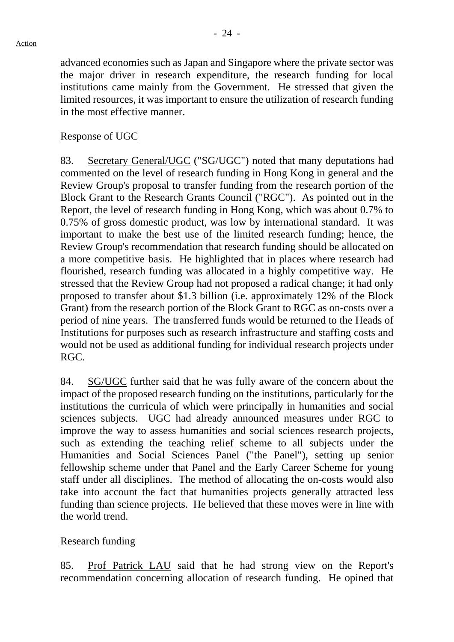advanced economies such as Japan and Singapore where the private sector was the major driver in research expenditure, the research funding for local institutions came mainly from the Government. He stressed that given the limited resources, it was important to ensure the utilization of research funding in the most effective manner.

## Response of UGC

83. Secretary General/UGC ("SG/UGC") noted that many deputations had commented on the level of research funding in Hong Kong in general and the Review Group's proposal to transfer funding from the research portion of the Block Grant to the Research Grants Council ("RGC"). As pointed out in the Report, the level of research funding in Hong Kong, which was about 0.7% to 0.75% of gross domestic product, was low by international standard. It was important to make the best use of the limited research funding; hence, the Review Group's recommendation that research funding should be allocated on a more competitive basis. He highlighted that in places where research had flourished, research funding was allocated in a highly competitive way. He stressed that the Review Group had not proposed a radical change; it had only proposed to transfer about \$1.3 billion (i.e. approximately 12% of the Block Grant) from the research portion of the Block Grant to RGC as on-costs over a period of nine years. The transferred funds would be returned to the Heads of Institutions for purposes such as research infrastructure and staffing costs and would not be used as additional funding for individual research projects under RGC.

84. SG/UGC further said that he was fully aware of the concern about the impact of the proposed research funding on the institutions, particularly for the institutions the curricula of which were principally in humanities and social sciences subjects. UGC had already announced measures under RGC to improve the way to assess humanities and social sciences research projects, such as extending the teaching relief scheme to all subjects under the Humanities and Social Sciences Panel ("the Panel"), setting up senior fellowship scheme under that Panel and the Early Career Scheme for young staff under all disciplines. The method of allocating the on-costs would also take into account the fact that humanities projects generally attracted less funding than science projects. He believed that these moves were in line with the world trend.

## Research funding

85. Prof Patrick LAU said that he had strong view on the Report's recommendation concerning allocation of research funding. He opined that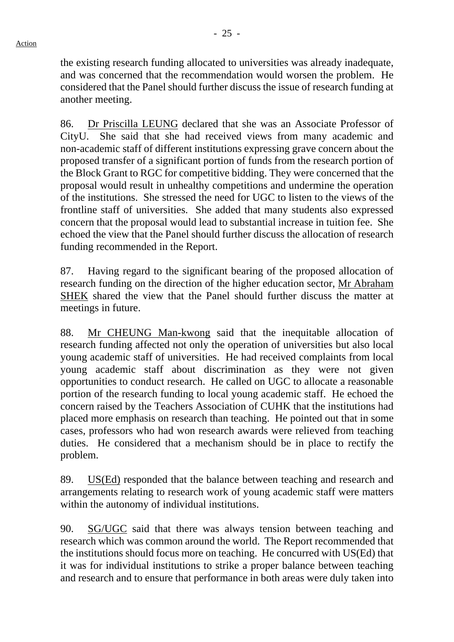the existing research funding allocated to universities was already inadequate, and was concerned that the recommendation would worsen the problem. He considered that the Panel should further discuss the issue of research funding at another meeting.

86. Dr Priscilla LEUNG declared that she was an Associate Professor of CityU. She said that she had received views from many academic and non-academic staff of different institutions expressing grave concern about the proposed transfer of a significant portion of funds from the research portion of the Block Grant to RGC for competitive bidding. They were concerned that the proposal would result in unhealthy competitions and undermine the operation of the institutions. She stressed the need for UGC to listen to the views of the frontline staff of universities. She added that many students also expressed concern that the proposal would lead to substantial increase in tuition fee. She echoed the view that the Panel should further discuss the allocation of research funding recommended in the Report.

87. Having regard to the significant bearing of the proposed allocation of research funding on the direction of the higher education sector, Mr Abraham SHEK shared the view that the Panel should further discuss the matter at meetings in future.

88. Mr CHEUNG Man-kwong said that the inequitable allocation of research funding affected not only the operation of universities but also local young academic staff of universities. He had received complaints from local young academic staff about discrimination as they were not given opportunities to conduct research. He called on UGC to allocate a reasonable portion of the research funding to local young academic staff. He echoed the concern raised by the Teachers Association of CUHK that the institutions had placed more emphasis on research than teaching. He pointed out that in some cases, professors who had won research awards were relieved from teaching duties. He considered that a mechanism should be in place to rectify the problem.

89. US(Ed) responded that the balance between teaching and research and arrangements relating to research work of young academic staff were matters within the autonomy of individual institutions.

90. SG/UGC said that there was always tension between teaching and research which was common around the world. The Report recommended that the institutions should focus more on teaching. He concurred with US(Ed) that it was for individual institutions to strike a proper balance between teaching and research and to ensure that performance in both areas were duly taken into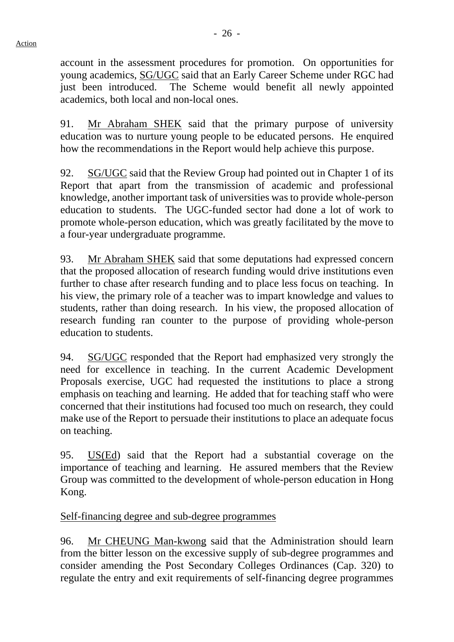account in the assessment procedures for promotion. On opportunities for young academics, SG/UGC said that an Early Career Scheme under RGC had just been introduced. The Scheme would benefit all newly appointed academics, both local and non-local ones.

91. Mr Abraham SHEK said that the primary purpose of university education was to nurture young people to be educated persons. He enquired how the recommendations in the Report would help achieve this purpose.

92. SG/UGC said that the Review Group had pointed out in Chapter 1 of its Report that apart from the transmission of academic and professional knowledge, another important task of universities was to provide whole-person education to students. The UGC-funded sector had done a lot of work to promote whole-person education, which was greatly facilitated by the move to a four-year undergraduate programme.

93. Mr Abraham SHEK said that some deputations had expressed concern that the proposed allocation of research funding would drive institutions even further to chase after research funding and to place less focus on teaching. In his view, the primary role of a teacher was to impart knowledge and values to students, rather than doing research. In his view, the proposed allocation of research funding ran counter to the purpose of providing whole-person education to students.

94. SG/UGC responded that the Report had emphasized very strongly the need for excellence in teaching. In the current Academic Development Proposals exercise, UGC had requested the institutions to place a strong emphasis on teaching and learning. He added that for teaching staff who were concerned that their institutions had focused too much on research, they could make use of the Report to persuade their institutions to place an adequate focus on teaching.

95. US(Ed) said that the Report had a substantial coverage on the importance of teaching and learning. He assured members that the Review Group was committed to the development of whole-person education in Hong Kong.

# Self-financing degree and sub-degree programmes

96. Mr CHEUNG Man-kwong said that the Administration should learn from the bitter lesson on the excessive supply of sub-degree programmes and consider amending the Post Secondary Colleges Ordinances (Cap. 320) to regulate the entry and exit requirements of self-financing degree programmes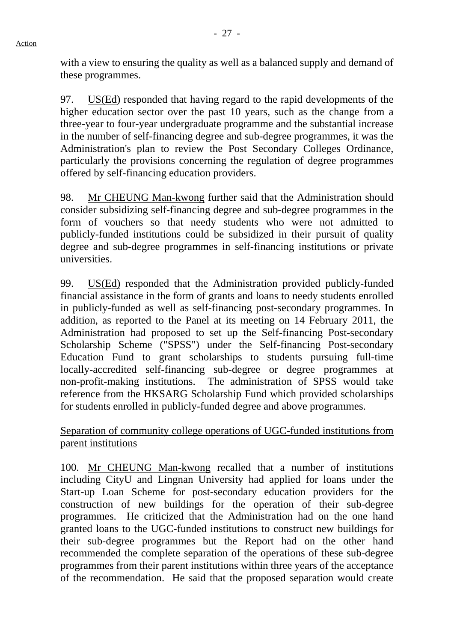97. US(Ed) responded that having regard to the rapid developments of the higher education sector over the past 10 years, such as the change from a three-year to four-year undergraduate programme and the substantial increase in the number of self-financing degree and sub-degree programmes, it was the Administration's plan to review the Post Secondary Colleges Ordinance, particularly the provisions concerning the regulation of degree programmes offered by self-financing education providers.

98. Mr CHEUNG Man-kwong further said that the Administration should consider subsidizing self-financing degree and sub-degree programmes in the form of vouchers so that needy students who were not admitted to publicly-funded institutions could be subsidized in their pursuit of quality degree and sub-degree programmes in self-financing institutions or private universities.

99. US(Ed) responded that the Administration provided publicly-funded financial assistance in the form of grants and loans to needy students enrolled in publicly-funded as well as self-financing post-secondary programmes. In addition, as reported to the Panel at its meeting on 14 February 2011, the Administration had proposed to set up the Self-financing Post-secondary Scholarship Scheme ("SPSS") under the Self-financing Post-secondary Education Fund to grant scholarships to students pursuing full-time locally-accredited self-financing sub-degree or degree programmes at non-profit-making institutions. The administration of SPSS would take reference from the HKSARG Scholarship Fund which provided scholarships for students enrolled in publicly-funded degree and above programmes.

Separation of community college operations of UGC-funded institutions from parent institutions

100. Mr CHEUNG Man-kwong recalled that a number of institutions including CityU and Lingnan University had applied for loans under the Start-up Loan Scheme for post-secondary education providers for the construction of new buildings for the operation of their sub-degree programmes. He criticized that the Administration had on the one hand granted loans to the UGC-funded institutions to construct new buildings for their sub-degree programmes but the Report had on the other hand recommended the complete separation of the operations of these sub-degree programmes from their parent institutions within three years of the acceptance of the recommendation. He said that the proposed separation would create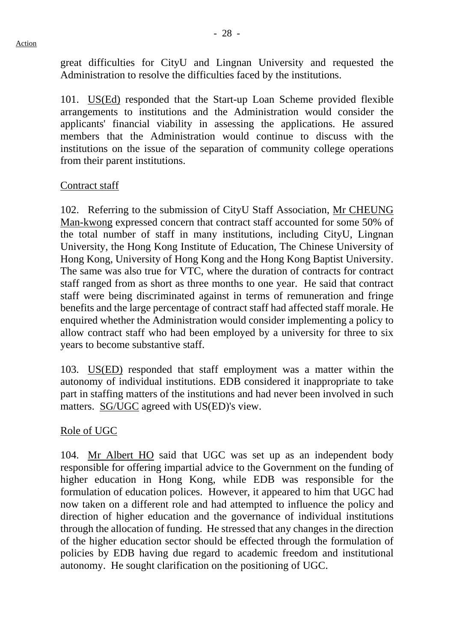great difficulties for CityU and Lingnan University and requested the Administration to resolve the difficulties faced by the institutions.

101. US(Ed) responded that the Start-up Loan Scheme provided flexible arrangements to institutions and the Administration would consider the applicants' financial viability in assessing the applications. He assured members that the Administration would continue to discuss with the institutions on the issue of the separation of community college operations from their parent institutions.

## Contract staff

102. Referring to the submission of CityU Staff Association, Mr CHEUNG Man-kwong expressed concern that contract staff accounted for some 50% of the total number of staff in many institutions, including CityU, Lingnan University, the Hong Kong Institute of Education, The Chinese University of Hong Kong, University of Hong Kong and the Hong Kong Baptist University. The same was also true for VTC, where the duration of contracts for contract staff ranged from as short as three months to one year. He said that contract staff were being discriminated against in terms of remuneration and fringe benefits and the large percentage of contract staff had affected staff morale. He enquired whether the Administration would consider implementing a policy to allow contract staff who had been employed by a university for three to six years to become substantive staff.

103. US(ED) responded that staff employment was a matter within the autonomy of individual institutions. EDB considered it inappropriate to take part in staffing matters of the institutions and had never been involved in such matters. SG/UGC agreed with US(ED)'s view.

## Role of UGC

104. Mr Albert HO said that UGC was set up as an independent body responsible for offering impartial advice to the Government on the funding of higher education in Hong Kong, while EDB was responsible for the formulation of education polices. However, it appeared to him that UGC had now taken on a different role and had attempted to influence the policy and direction of higher education and the governance of individual institutions through the allocation of funding. He stressed that any changes in the direction of the higher education sector should be effected through the formulation of policies by EDB having due regard to academic freedom and institutional autonomy. He sought clarification on the positioning of UGC.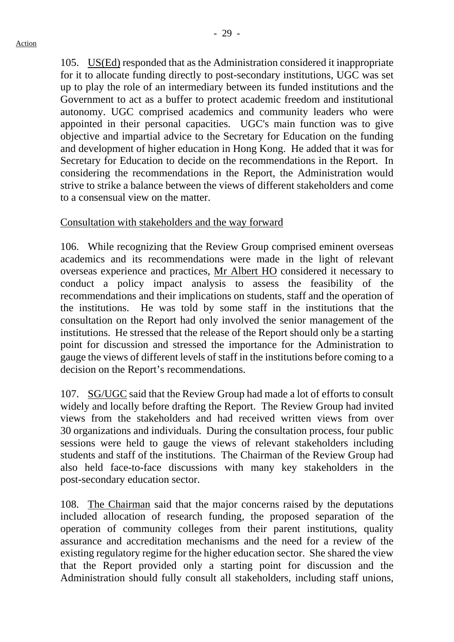105. US(Ed) responded that as the Administration considered it inappropriate for it to allocate funding directly to post-secondary institutions, UGC was set up to play the role of an intermediary between its funded institutions and the Government to act as a buffer to protect academic freedom and institutional autonomy. UGC comprised academics and community leaders who were appointed in their personal capacities. UGC's main function was to give objective and impartial advice to the Secretary for Education on the funding and development of higher education in Hong Kong. He added that it was for Secretary for Education to decide on the recommendations in the Report. In considering the recommendations in the Report, the Administration would strive to strike a balance between the views of different stakeholders and come to a consensual view on the matter.

#### Consultation with stakeholders and the way forward

106. While recognizing that the Review Group comprised eminent overseas academics and its recommendations were made in the light of relevant overseas experience and practices, Mr Albert HO considered it necessary to conduct a policy impact analysis to assess the feasibility of the recommendations and their implications on students, staff and the operation of the institutions. He was told by some staff in the institutions that the consultation on the Report had only involved the senior management of the institutions. He stressed that the release of the Report should only be a starting point for discussion and stressed the importance for the Administration to gauge the views of different levels of staff in the institutions before coming to a decision on the Report's recommendations.

107. SG/UGC said that the Review Group had made a lot of efforts to consult widely and locally before drafting the Report. The Review Group had invited views from the stakeholders and had received written views from over 30 organizations and individuals. During the consultation process, four public sessions were held to gauge the views of relevant stakeholders including students and staff of the institutions. The Chairman of the Review Group had also held face-to-face discussions with many key stakeholders in the post-secondary education sector.

108. The Chairman said that the major concerns raised by the deputations included allocation of research funding, the proposed separation of the operation of community colleges from their parent institutions, quality assurance and accreditation mechanisms and the need for a review of the existing regulatory regime for the higher education sector. She shared the view that the Report provided only a starting point for discussion and the Administration should fully consult all stakeholders, including staff unions,